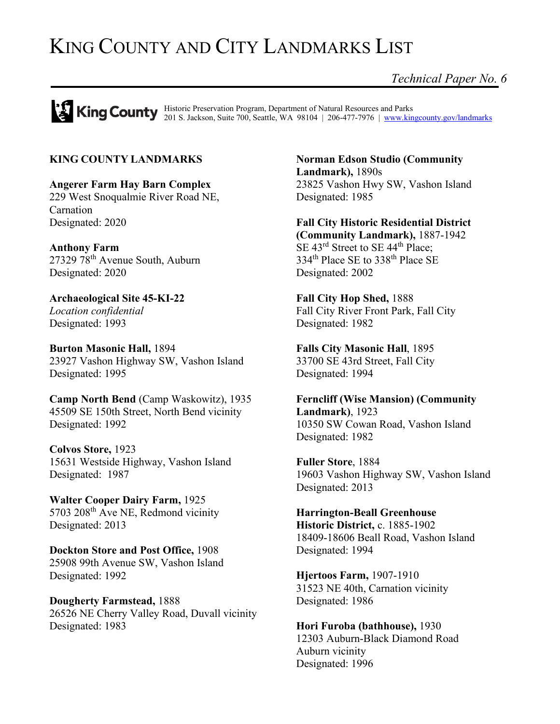# KING COUNTY AND CITY LANDMARKS LIST

*Technical Paper No. 6*

Historic Preservation Program, Department of Natural Resources and Parks 201 S. Jackson, Suite 700, Seattle, WA 98104 | 206-477-7976 | [www.kingcounty.gov/landmarks](http://www.kingcounty.gov/landmarks)

## **KING COUNTY LANDMARKS**

**Angerer Farm Hay Barn Complex** 229 West Snoqualmie River Road NE, Carnation Designated: 2020

**Anthony Farm** 27329 78th Avenue South, Auburn Designated: 2020

**Archaeological Site 45-KI-22** *Location confidential* Designated: 1993

**Burton Masonic Hall,** 1894 23927 Vashon Highway SW, Vashon Island Designated: 1995

**Camp North Bend** (Camp Waskowitz), 1935 45509 SE 150th Street, North Bend vicinity Designated: 1992

**Colvos Store,** 1923 15631 Westside Highway, Vashon Island Designated: 1987

**Walter Cooper Dairy Farm,** 1925 5703 208<sup>th</sup> Ave NE, Redmond vicinity Designated: 2013

**Dockton Store and Post Office,** 1908 25908 99th Avenue SW, Vashon Island Designated: 1992

**Dougherty Farmstead,** 1888 26526 NE Cherry Valley Road, Duvall vicinity Designated: 1983

**Norman Edson Studio (Community Landmark),** 1890s 23825 Vashon Hwy SW, Vashon Island Designated: 1985

**Fall City Historic Residential District (Community Landmark),** 1887-1942 SE 43<sup>rd</sup> Street to SE 44<sup>th</sup> Place; 334<sup>th</sup> Place SE to 338<sup>th</sup> Place SE Designated: 2002

**Fall City Hop Shed,** 1888 Fall City River Front Park, Fall City Designated: 1982

**Falls City Masonic Hall**, 1895 33700 SE 43rd Street, Fall City Designated: 1994

**Ferncliff (Wise Mansion) (Community Landmark)**, 1923 10350 SW Cowan Road, Vashon Island Designated: 1982

**Fuller Store**, 1884 19603 Vashon Highway SW, Vashon Island Designated: 2013

**Harrington-Beall Greenhouse Historic District,** c. 1885-1902 18409-18606 Beall Road, Vashon Island Designated: 1994

**Hjertoos Farm,** 1907-1910 31523 NE 40th, Carnation vicinity Designated: 1986

**Hori Furoba (bathhouse),** 1930 12303 Auburn-Black Diamond Road Auburn vicinity Designated: 1996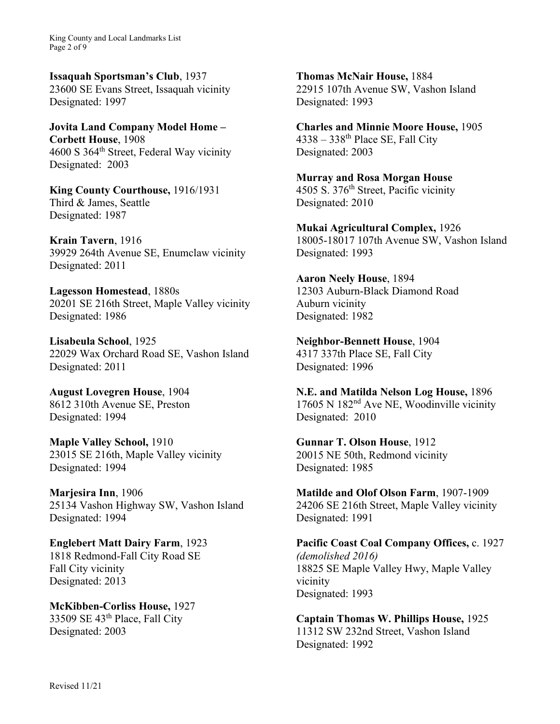King County and Local Landmarks List Page 2 of 9

**Issaquah Sportsman's Club**, 1937 23600 SE Evans Street, Issaquah vicinity Designated: 1997

**Jovita Land Company Model Home – Corbett House**, 1908 4600 S 364th Street, Federal Way vicinity Designated: 2003

**King County Courthouse,** 1916/1931 Third & James, Seattle Designated: 1987

**Krain Tavern**, 1916 39929 264th Avenue SE, Enumclaw vicinity Designated: 2011

**Lagesson Homestead**, 1880s 20201 SE 216th Street, Maple Valley vicinity Designated: 1986

**Lisabeula School**, 1925 22029 Wax Orchard Road SE, Vashon Island Designated: 2011

**August Lovegren House**, 1904 8612 310th Avenue SE, Preston Designated: 1994

**Maple Valley School,** 1910 23015 SE 216th, Maple Valley vicinity Designated: 1994

**Marjesira Inn**, 1906 25134 Vashon Highway SW, Vashon Island Designated: 1994

**Englebert Matt Dairy Farm**, 1923 1818 Redmond-Fall City Road SE Fall City vicinity Designated: 2013

**McKibben-Corliss House,** 1927 33509 SE 43th Place, Fall City Designated: 2003

**Thomas McNair House,** 1884 22915 107th Avenue SW, Vashon Island Designated: 1993

**Charles and Minnie Moore House,** 1905  $4338 - 338$ <sup>th</sup> Place SE, Fall City Designated: 2003

**Murray and Rosa Morgan House** 4505 S. 376<sup>th</sup> Street, Pacific vicinity Designated: 2010

**Mukai Agricultural Complex,** 1926 18005-18017 107th Avenue SW, Vashon Island Designated: 1993

**Aaron Neely House**, 1894 12303 Auburn-Black Diamond Road Auburn vicinity Designated: 1982

**Neighbor-Bennett House**, 1904 4317 337th Place SE, Fall City Designated: 1996

**N.E. and Matilda Nelson Log House,** 1896 17605 N 182nd Ave NE, Woodinville vicinity Designated: 2010

**Gunnar T. Olson House**, 1912 20015 NE 50th, Redmond vicinity Designated: 1985

**Matilde and Olof Olson Farm**, 1907-1909 24206 SE 216th Street, Maple Valley vicinity Designated: 1991

**Pacific Coast Coal Company Offices,** c. 1927 *(demolished 2016)* 18825 SE Maple Valley Hwy, Maple Valley vicinity Designated: 1993

**Captain Thomas W. Phillips House,** 1925 11312 SW 232nd Street, Vashon Island Designated: 1992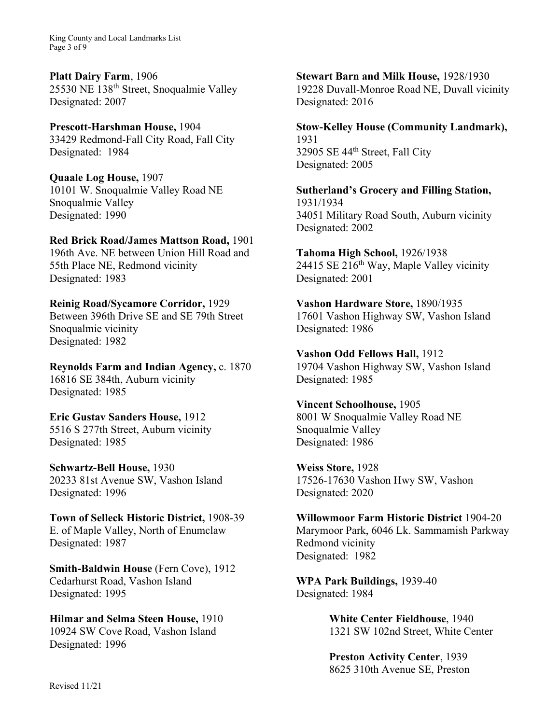King County and Local Landmarks List Page 3 of 9

**Platt Dairy Farm**, 1906 25530 NE 138th Street, Snoqualmie Valley Designated: 2007

**Prescott-Harshman House,** 1904 33429 Redmond-Fall City Road, Fall City Designated: 1984

**Quaale Log House,** 1907 10101 W. Snoqualmie Valley Road NE Snoqualmie Valley Designated: 1990

**Red Brick Road/James Mattson Road,** 1901 196th Ave. NE between Union Hill Road and

55th Place NE, Redmond vicinity Designated: 1983

**Reinig Road/Sycamore Corridor,** 1929 Between 396th Drive SE and SE 79th Street Snoqualmie vicinity Designated: 1982

**Reynolds Farm and Indian Agency,** c. 1870 16816 SE 384th, Auburn vicinity Designated: 1985

**Eric Gustav Sanders House,** 1912 5516 S 277th Street, Auburn vicinity Designated: 1985

**Schwartz-Bell House,** 1930 20233 81st Avenue SW, Vashon Island Designated: 1996

**Town of Selleck Historic District,** 1908-39 E. of Maple Valley, North of Enumclaw Designated: 1987

**Smith-Baldwin House** (Fern Cove), 1912 Cedarhurst Road, Vashon Island Designated: 1995

**Hilmar and Selma Steen House,** 1910 10924 SW Cove Road, Vashon Island Designated: 1996

**Stewart Barn and Milk House,** 1928/1930 19228 Duvall-Monroe Road NE, Duvall vicinity Designated: 2016

**Stow-Kelley House (Community Landmark),** 1931

32905 SE 44<sup>th</sup> Street, Fall City Designated: 2005

**Sutherland's Grocery and Filling Station,**  1931/1934 34051 Military Road South, Auburn vicinity Designated: 2002

**Tahoma High School,** 1926/1938 24415 SE  $216^{th}$  Way, Maple Valley vicinity Designated: 2001

**Vashon Hardware Store,** 1890/1935 17601 Vashon Highway SW, Vashon Island Designated: 1986

**Vashon Odd Fellows Hall,** 1912 19704 Vashon Highway SW, Vashon Island Designated: 1985

**Vincent Schoolhouse,** 1905 8001 W Snoqualmie Valley Road NE Snoqualmie Valley Designated: 1986

**Weiss Store,** 1928 17526-17630 Vashon Hwy SW, Vashon Designated: 2020

**Willowmoor Farm Historic District** 1904-20 Marymoor Park, 6046 Lk. Sammamish Parkway Redmond vicinity Designated: 1982

**WPA Park Buildings,** 1939-40 Designated: 1984

> **White Center Fieldhouse**, 1940 1321 SW 102nd Street, White Center

**Preston Activity Center**, 1939 8625 310th Avenue SE, Preston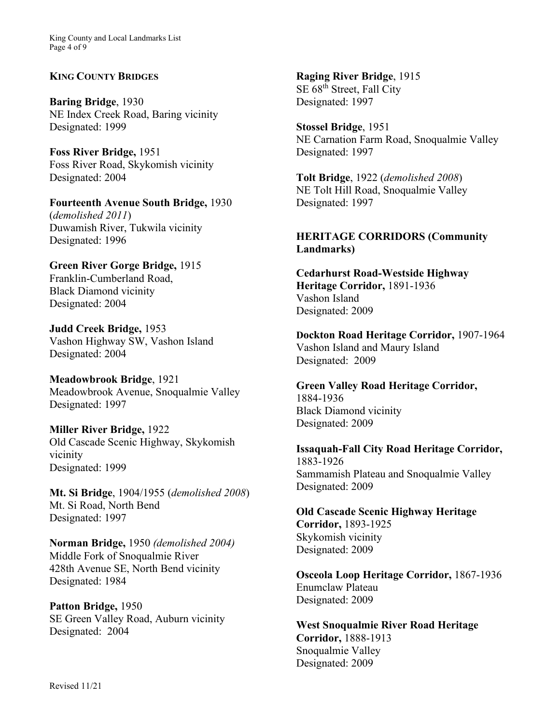King County and Local Landmarks List Page 4 of 9

## **KING COUNTY BRIDGES**

**Baring Bridge**, 1930 NE Index Creek Road, Baring vicinity Designated: 1999

**Foss River Bridge,** 1951 Foss River Road, Skykomish vicinity Designated: 2004

**Fourteenth Avenue South Bridge,** 1930 (*demolished 2011*) Duwamish River, Tukwila vicinity Designated: 1996

**Green River Gorge Bridge,** 1915 Franklin-Cumberland Road, Black Diamond vicinity Designated: 2004

**Judd Creek Bridge,** 1953 Vashon Highway SW, Vashon Island Designated: 2004

**Meadowbrook Bridge**, 1921 Meadowbrook Avenue, Snoqualmie Valley Designated: 1997

**Miller River Bridge,** 1922 Old Cascade Scenic Highway, Skykomish vicinity Designated: 1999

**Mt. Si Bridge**, 1904/1955 (*demolished 2008*) Mt. Si Road, North Bend Designated: 1997

**Norman Bridge,** 1950 *(demolished 2004)*  Middle Fork of Snoqualmie River 428th Avenue SE, North Bend vicinity Designated: 1984

**Patton Bridge,** 1950 SE Green Valley Road, Auburn vicinity Designated: 2004

**Raging River Bridge**, 1915 SE 68<sup>th</sup> Street, Fall City Designated: 1997

**Stossel Bridge**, 1951 NE Carnation Farm Road, Snoqualmie Valley Designated: 1997

**Tolt Bridge**, 1922 (*demolished 2008*) NE Tolt Hill Road, Snoqualmie Valley Designated: 1997

# **HERITAGE CORRIDORS (Community Landmarks)**

**Cedarhurst Road-Westside Highway Heritage Corridor,** 1891-1936 Vashon Island Designated: 2009

**Dockton Road Heritage Corridor,** 1907-1964 Vashon Island and Maury Island Designated: 2009

**Green Valley Road Heritage Corridor,** 1884-1936 Black Diamond vicinity Designated: 2009

**Issaquah-Fall City Road Heritage Corridor,** 1883-1926 Sammamish Plateau and Snoqualmie Valley Designated: 2009

**Old Cascade Scenic Highway Heritage Corridor,** 1893-1925 Skykomish vicinity Designated: 2009

**Osceola Loop Heritage Corridor,** 1867-1936 Enumclaw Plateau Designated: 2009

**West Snoqualmie River Road Heritage Corridor,** 1888-1913 Snoqualmie Valley Designated: 2009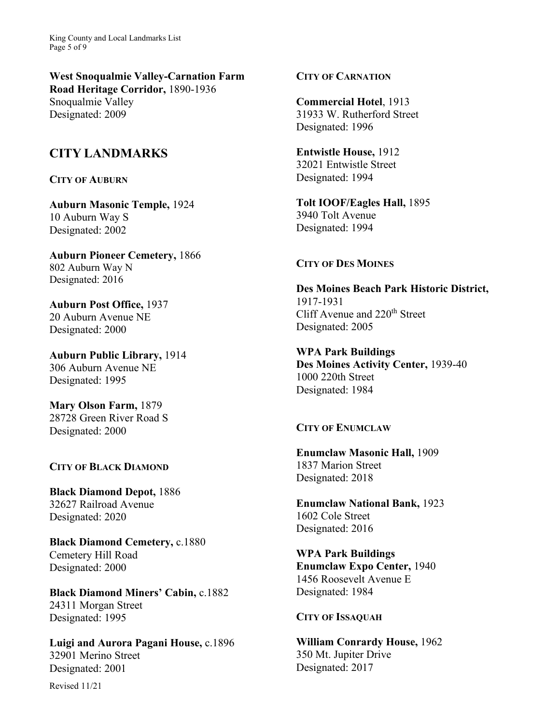King County and Local Landmarks List Page 5 of 9

**West Snoqualmie Valley-Carnation Farm Road Heritage Corridor,** 1890-1936 Snoqualmie Valley Designated: 2009

# **CITY LANDMARKS**

#### **CITY OF AUBURN**

**Auburn Masonic Temple,** 1924 10 Auburn Way S Designated: 2002

**Auburn Pioneer Cemetery,** 1866 802 Auburn Way N Designated: 2016

**Auburn Post Office,** 1937 20 Auburn Avenue NE Designated: 2000

**Auburn Public Library,** 1914 306 Auburn Avenue NE Designated: 1995

**Mary Olson Farm,** 1879 28728 Green River Road S Designated: 2000

#### **CITY OF BLACK DIAMOND**

**Black Diamond Depot,** 1886 32627 Railroad Avenue Designated: 2020

**Black Diamond Cemetery,** c.1880 Cemetery Hill Road Designated: 2000

**Black Diamond Miners' Cabin,** c.1882 24311 Morgan Street Designated: 1995

**Luigi and Aurora Pagani House,** c.1896 32901 Merino Street Designated: 2001

Revised 11/21

## **CITY OF CARNATION**

**Commercial Hotel**, 1913 31933 W. Rutherford Street Designated: 1996

**Entwistle House,** 1912 32021 Entwistle Street Designated: 1994

**Tolt IOOF/Eagles Hall,** 1895 3940 Tolt Avenue Designated: 1994

#### **CITY OF DES MOINES**

**Des Moines Beach Park Historic District,**  1917-1931 Cliff Avenue and 220th Street Designated: 2005

**WPA Park Buildings Des Moines Activity Center,** 1939-40 1000 220th Street Designated: 1984

# **CITY OF ENUMCLAW**

**Enumclaw Masonic Hall,** 1909 1837 Marion Street Designated: 2018

**Enumclaw National Bank,** 1923 1602 Cole Street Designated: 2016

**WPA Park Buildings Enumclaw Expo Center,** 1940 1456 Roosevelt Avenue E Designated: 1984

#### **CITY OF ISSAQUAH**

**William Conrardy House,** 1962 350 Mt. Jupiter Drive Designated: 2017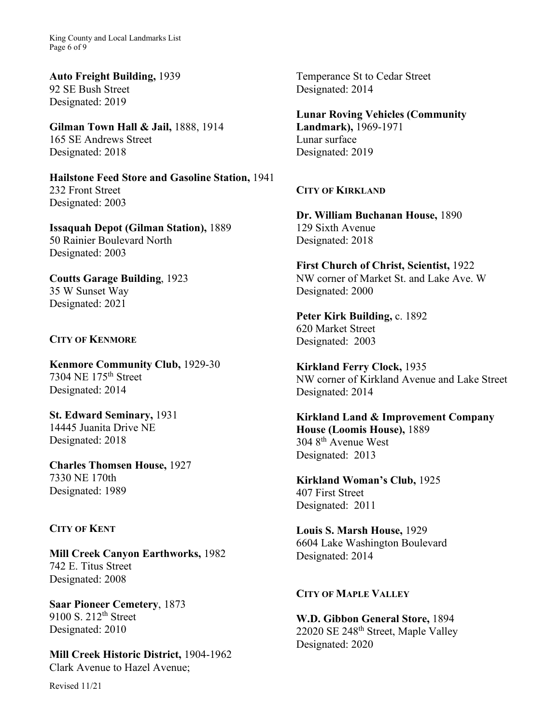King County and Local Landmarks List Page 6 of 9

**Auto Freight Building,** 1939 92 SE Bush Street Designated: 2019

**Gilman Town Hall & Jail,** 1888, 1914 165 SE Andrews Street Designated: 2018

**Hailstone Feed Store and Gasoline Station,** 1941 232 Front Street Designated: 2003

**Issaquah Depot (Gilman Station),** 1889 50 Rainier Boulevard North Designated: 2003

**Coutts Garage Building**, 1923 35 W Sunset Way Designated: 2021

## **CITY OF KENMORE**

**Kenmore Community Club,** 1929-30 7304 NE 175th Street Designated: 2014

**St. Edward Seminary,** 1931 14445 Juanita Drive NE Designated: 2018

**Charles Thomsen House,** 1927 7330 NE 170th Designated: 1989

## **CITY OF KENT**

**Mill Creek Canyon Earthworks,** 1982 742 E. Titus Street Designated: 2008

**Saar Pioneer Cemetery**, 1873 9100 S.  $212^{th}$  Street Designated: 2010

**Mill Creek Historic District,** 1904-1962 Clark Avenue to Hazel Avenue;

Revised 11/21

Temperance St to Cedar Street Designated: 2014

**Lunar Roving Vehicles (Community Landmark),** 1969-1971 Lunar surface Designated: 2019

**CITY OF KIRKLAND**

**Dr. William Buchanan House,** 1890 129 Sixth Avenue Designated: 2018

**First Church of Christ, Scientist,** 1922 NW corner of Market St. and Lake Ave. W Designated: 2000

**Peter Kirk Building,** c. 1892 620 Market Street Designated: 2003

**Kirkland Ferry Clock,** 1935 NW corner of Kirkland Avenue and Lake Street Designated: 2014

**Kirkland Land & Improvement Company House (Loomis House),** 1889 304 8th Avenue West Designated: 2013

**Kirkland Woman's Club,** 1925 407 First Street Designated: 2011

**Louis S. Marsh House,** 1929 6604 Lake Washington Boulevard Designated: 2014

### **CITY OF MAPLE VALLEY**

**W.D. Gibbon General Store,** 1894 22020 SE 248<sup>th</sup> Street, Maple Valley Designated: 2020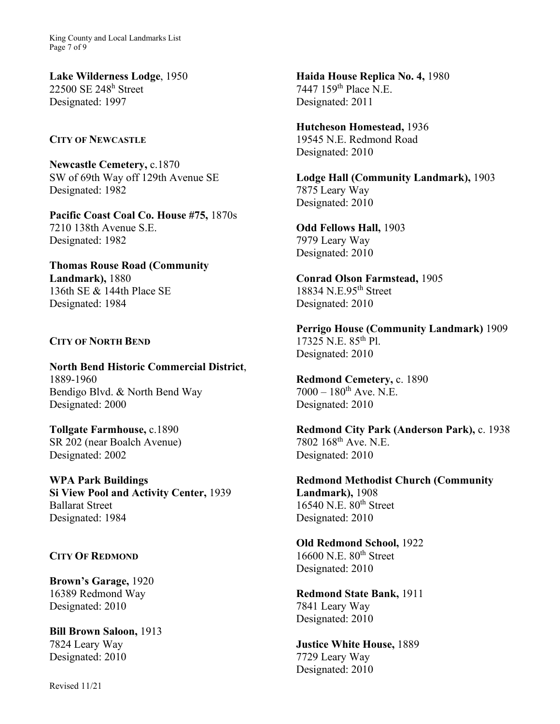King County and Local Landmarks List Page 7 of 9

**Lake Wilderness Lodge**, 1950 22500 SE 248h Street Designated: 1997

**CITY OF NEWCASTLE** 

**Newcastle Cemetery,** c.1870 SW of 69th Way off 129th Avenue SE Designated: 1982

**Pacific Coast Coal Co. House #75,** 1870s 7210 138th Avenue S.E. Designated: 1982

**Thomas Rouse Road (Community Landmark),** 1880 136th SE & 144th Place SE Designated: 1984

## **CITY OF NORTH BEND**

**North Bend Historic Commercial District**, 1889-1960 Bendigo Blvd. & North Bend Way Designated: 2000

**Tollgate Farmhouse,** c.1890 SR 202 (near Boalch Avenue) Designated: 2002

**WPA Park Buildings Si View Pool and Activity Center,** 1939 Ballarat Street Designated: 1984

### **CITY OF REDMOND**

**Brown's Garage,** 1920 16389 Redmond Way Designated: 2010

**Bill Brown Saloon,** 1913 7824 Leary Way Designated: 2010

Revised 11/21

**Haida House Replica No. 4,** 1980 7447 159th Place N.E. Designated: 2011

**Hutcheson Homestead,** 1936 19545 N.E. Redmond Road Designated: 2010

**Lodge Hall (Community Landmark),** 1903 7875 Leary Way Designated: 2010

**Odd Fellows Hall,** 1903 7979 Leary Way Designated: 2010

**Conrad Olson Farmstead,** 1905 18834 N.E.95<sup>th</sup> Street Designated: 2010

**Perrigo House (Community Landmark)** 1909 17325 N.E. 85th Pl. Designated: 2010

**Redmond Cemetery,** c. 1890  $7000 - 180$ <sup>th</sup> Ave. N.E. Designated: 2010

**Redmond City Park (Anderson Park),** c. 1938 7802 168th Ave. N.E. Designated: 2010

**Redmond Methodist Church (Community Landmark),** 1908 16540 N.E. 80<sup>th</sup> Street Designated: 2010

**Old Redmond School,** 1922 16600 N.E. 80<sup>th</sup> Street Designated: 2010

**Redmond State Bank,** 1911 7841 Leary Way Designated: 2010

**Justice White House,** 1889 7729 Leary Way Designated: 2010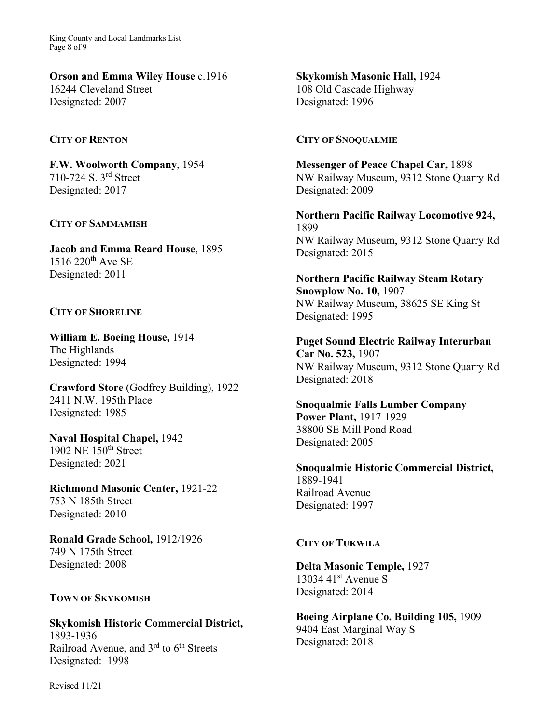King County and Local Landmarks List Page 8 of 9

**Orson and Emma Wiley House** c.1916 16244 Cleveland Street Designated: 2007

### **CITY OF RENTON**

**F.W. Woolworth Company**, 1954 710-724 S. 3rd Street Designated: 2017

### **CITY OF SAMMAMISH**

**Jacob and Emma Reard House**, 1895  $1516$   $220^{\rm th}$  Ave SE Designated: 2011

## **CITY OF SHORELINE**

**William E. Boeing House,** 1914 The Highlands Designated: 1994

**Crawford Store** (Godfrey Building), 1922 2411 N.W. 195th Place Designated: 1985

**Naval Hospital Chapel,** 1942 1902 NE 150th Street Designated: 2021

**Richmond Masonic Center,** 1921-22 753 N 185th Street Designated: 2010

**Ronald Grade School,** 1912/1926 749 N 175th Street Designated: 2008

## **TOWN OF SKYKOMISH**

**Skykomish Historic Commercial District,**  1893-1936 Railroad Avenue, and 3<sup>rd</sup> to 6<sup>th</sup> Streets Designated: 1998

**Skykomish Masonic Hall,** 1924 108 Old Cascade Highway Designated: 1996

#### **CITY OF SNOQUALMIE**

**Messenger of Peace Chapel Car,** 1898 NW Railway Museum, 9312 Stone Quarry Rd Designated: 2009

**Northern Pacific Railway Locomotive 924,**  1899 NW Railway Museum, 9312 Stone Quarry Rd Designated: 2015

**Northern Pacific Railway Steam Rotary Snowplow No. 10,** 1907 NW Railway Museum, 38625 SE King St Designated: 1995

**Puget Sound Electric Railway Interurban Car No. 523,** 1907 NW Railway Museum, 9312 Stone Quarry Rd Designated: 2018

**Snoqualmie Falls Lumber Company Power Plant,** 1917-1929 38800 SE Mill Pond Road Designated: 2005

**Snoqualmie Historic Commercial District,**  1889-1941 Railroad Avenue Designated: 1997

#### **CITY OF TUKWILA**

**Delta Masonic Temple,** 1927 13034 41 $\rm st$  Avenue S Designated: 2014

**Boeing Airplane Co. Building 105,** 1909 9404 East Marginal Way S Designated: 2018

Revised 11/21